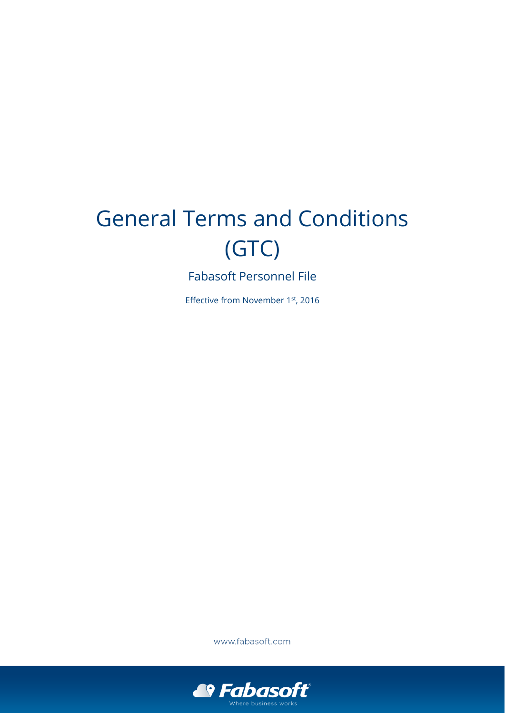# General Terms and Conditions (GTC)

Fabasoft Personnel File

Effective from November 1st, 2016

www.fabasoft.com

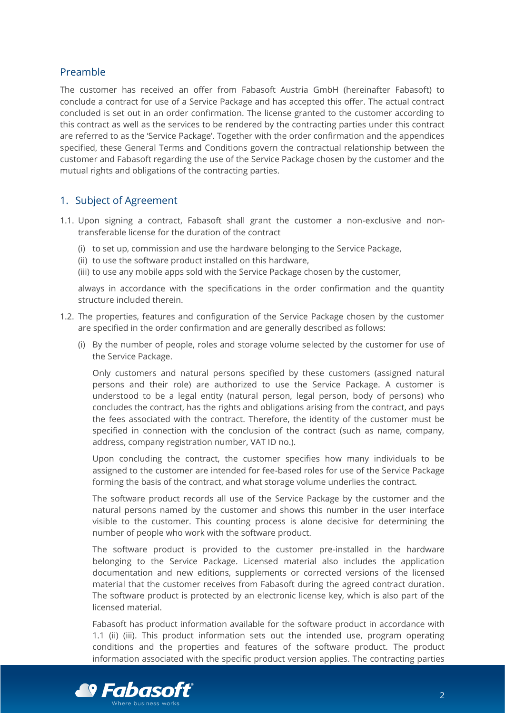# Preamble

The customer has received an offer from Fabasoft Austria GmbH (hereinafter Fabasoft) to conclude a contract for use of a Service Package and has accepted this offer. The actual contract concluded is set out in an order confirmation. The license granted to the customer according to this contract as well as the services to be rendered by the contracting parties under this contract are referred to as the 'Service Package'. Together with the order confirmation and the appendices specified, these General Terms and Conditions govern the contractual relationship between the customer and Fabasoft regarding the use of the Service Package chosen by the customer and the mutual rights and obligations of the contracting parties.

# 1. Subject of Agreement

- <span id="page-1-0"></span>1.1. Upon signing a contract, Fabasoft shall grant the customer a non-exclusive and nontransferable license for the duration of the contract
	- (i) to set up, commission and use the hardware belonging to the Service Package,
	- (ii) to use the software product installed on this hardware,
	- (iii) to use any mobile apps sold with the Service Package chosen by the customer,

<span id="page-1-2"></span><span id="page-1-1"></span>always in accordance with the specifications in the order confirmation and the quantity structure included therein.

- <span id="page-1-3"></span>1.2. The properties, features and configuration of the Service Package chosen by the customer are specified in the order confirmation and are generally described as follows:
	- (i) By the number of people, roles and storage volume selected by the customer for use of the Service Package.

Only customers and natural persons specified by these customers (assigned natural persons and their role) are authorized to use the Service Package. A customer is understood to be a legal entity (natural person, legal person, body of persons) who concludes the contract, has the rights and obligations arising from the contract, and pays the fees associated with the contract. Therefore, the identity of the customer must be specified in connection with the conclusion of the contract (such as name, company, address, company registration number, VAT ID no.).

Upon concluding the contract, the customer specifies how many individuals to be assigned to the customer are intended for fee-based roles for use of the Service Package forming the basis of the contract, and what storage volume underlies the contract.

The software product records all use of the Service Package by the customer and the natural persons named by the customer and shows this number in the user interface visible to the customer. This counting process is alone decisive for determining the number of people who work with the software product.

The software product is provided to the customer pre-installed in the hardware belonging to the Service Package. Licensed material also includes the application documentation and new editions, supplements or corrected versions of the licensed material that the customer receives from Fabasoft during the agreed contract duration. The software product is protected by an electronic license key, which is also part of the licensed material.

Fabasoft has product information available for the software product in accordance with [1.1](#page-1-0) [\(ii\)](#page-1-1) [\(iii\).](#page-1-2) This product information sets out the intended use, program operating conditions and the properties and features of the software product. The product information associated with the specific product version applies. The contracting parties

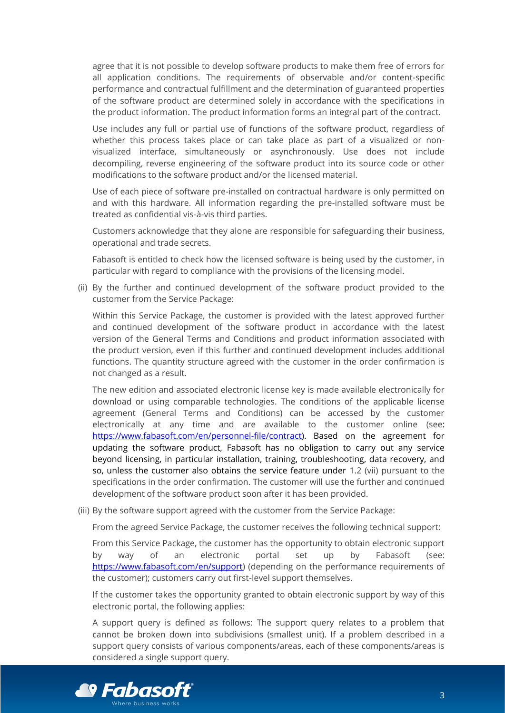agree that it is not possible to develop software products to make them free of errors for all application conditions. The requirements of observable and/or content-specific performance and contractual fulfillment and the determination of guaranteed properties of the software product are determined solely in accordance with the specifications in the product information. The product information forms an integral part of the contract.

Use includes any full or partial use of functions of the software product, regardless of whether this process takes place or can take place as part of a visualized or nonvisualized interface, simultaneously or asynchronously. Use does not include decompiling, reverse engineering of the software product into its source code or other modifications to the software product and/or the licensed material.

Use of each piece of software pre-installed on contractual hardware is only permitted on and with this hardware. All information regarding the pre-installed software must be treated as confidential vis-à-vis third parties.

Customers acknowledge that they alone are responsible for safeguarding their business, operational and trade secrets.

Fabasoft is entitled to check how the licensed software is being used by the customer, in particular with regard to compliance with the provisions of the licensing model.

(ii) By the further and continued development of the software product provided to the customer from the Service Package:

Within this Service Package, the customer is provided with the latest approved further and continued development of the software product in accordance with the latest version of the General Terms and Conditions and product information associated with the product version, even if this further and continued development includes additional functions. The quantity structure agreed with the customer in the order confirmation is not changed as a result.

The new edition and associated electronic license key is made available electronically for download or using comparable technologies. The conditions of the applicable license agreement (General Terms and Conditions) can be accessed by the customer electronically at any time and are available to the customer online (see: [https://www.fabasoft.com/en/personnel-file/contract\)](https://www.fabasoft.com/en/personnel-file/contract). Based on the agreement for updating the software product, Fabasoft has no obligation to carry out any service beyond licensing, in particular installation, training, troubleshooting, data recovery, and so, unless the customer also obtains the service feature under [1.2](#page-1-3) [\(vii\)](#page-4-0) pursuant to the specifications in the order confirmation. The customer will use the further and continued development of the software product soon after it has been provided.

(iii) By the software support agreed with the customer from the Service Package:

From the agreed Service Package, the customer receives the following technical support:

From this Service Package, the customer has the opportunity to obtain electronic support by way of an electronic portal set up by Fabasoft (see: [https://www.fabasoft.com/en/support\)](https://www.fabasoft.com/en/support) (depending on the performance requirements of the customer); customers carry out first-level support themselves.

If the customer takes the opportunity granted to obtain electronic support by way of this electronic portal, the following applies:

A support query is defined as follows: The support query relates to a problem that cannot be broken down into subdivisions (smallest unit). If a problem described in a support query consists of various components/areas, each of these components/areas is considered a single support query.

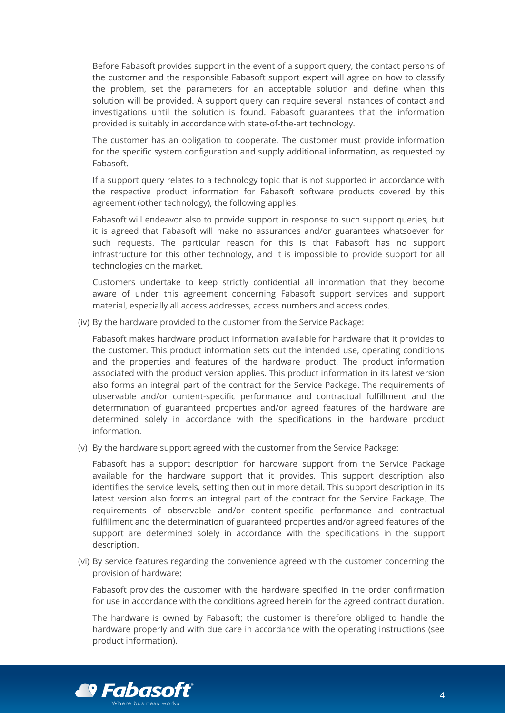Before Fabasoft provides support in the event of a support query, the contact persons of the customer and the responsible Fabasoft support expert will agree on how to classify the problem, set the parameters for an acceptable solution and define when this solution will be provided. A support query can require several instances of contact and investigations until the solution is found. Fabasoft guarantees that the information provided is suitably in accordance with state-of-the-art technology.

The customer has an obligation to cooperate. The customer must provide information for the specific system configuration and supply additional information, as requested by Fabasoft.

If a support query relates to a technology topic that is not supported in accordance with the respective product information for Fabasoft software products covered by this agreement (other technology), the following applies:

Fabasoft will endeavor also to provide support in response to such support queries, but it is agreed that Fabasoft will make no assurances and/or guarantees whatsoever for such requests. The particular reason for this is that Fabasoft has no support infrastructure for this other technology, and it is impossible to provide support for all technologies on the market.

Customers undertake to keep strictly confidential all information that they become aware of under this agreement concerning Fabasoft support services and support material, especially all access addresses, access numbers and access codes.

(iv) By the hardware provided to the customer from the Service Package:

Fabasoft makes hardware product information available for hardware that it provides to the customer. This product information sets out the intended use, operating conditions and the properties and features of the hardware product. The product information associated with the product version applies. This product information in its latest version also forms an integral part of the contract for the Service Package. The requirements of observable and/or content-specific performance and contractual fulfillment and the determination of guaranteed properties and/or agreed features of the hardware are determined solely in accordance with the specifications in the hardware product information.

(v) By the hardware support agreed with the customer from the Service Package:

Fabasoft has a support description for hardware support from the Service Package available for the hardware support that it provides. This support description also identifies the service levels, setting then out in more detail. This support description in its latest version also forms an integral part of the contract for the Service Package. The requirements of observable and/or content-specific performance and contractual fulfillment and the determination of guaranteed properties and/or agreed features of the support are determined solely in accordance with the specifications in the support description.

(vi) By service features regarding the convenience agreed with the customer concerning the provision of hardware:

Fabasoft provides the customer with the hardware specified in the order confirmation for use in accordance with the conditions agreed herein for the agreed contract duration.

The hardware is owned by Fabasoft; the customer is therefore obliged to handle the hardware properly and with due care in accordance with the operating instructions (see product information).

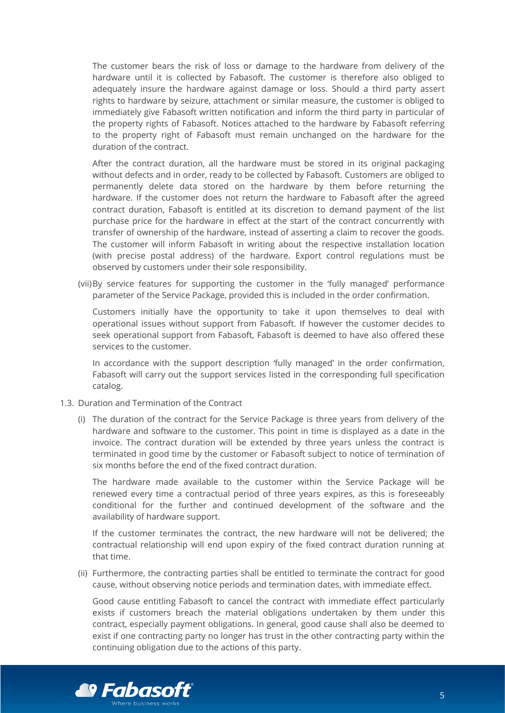The customer bears the risk of loss or damage to the hardware from delivery of the hardware until it is collected by Fabasoft. The customer is therefore also obliged to adequately insure the hardware against damage or loss. Should a third party assert rights to hardware by seizure, attachment or similar measure, the customer is obliged to immediately give Fabasoft written notification and inform the third party in particular of the property rights of Fabasoft. Notices attached to the hardware by Fabasoft referring to the property right of Fabasoft must remain unchanged on the hardware for the duration of the contract.

After the contract duration, all the hardware must be stored in its original packaging without defects and in order, ready to be collected by Fabasoft. Customers are obliged to permanently delete data stored on the hardware by them before returning the hardware. If the customer does not return the hardware to Fabasoft after the agreed contract duration, Fabasoft is entitled at its discretion to demand payment of the list purchase price for the hardware in effect at the start of the contract concurrently with transfer of ownership of the hardware, instead of asserting a claim to recover the goods. The customer will inform Fabasoft in writing about the respective installation location (with precise postal address) of the hardware. Export control regulations must be observed by customers under their sole responsibility.

<span id="page-4-0"></span>(vii)By service features for supporting the customer in the 'fully managed' performance parameter of the Service Package, provided this is included in the order confirmation.

Customers initially have the opportunity to take it upon themselves to deal with operational issues without support from Fabasoft. If however the customer decides to seek operational support from Fabasoft, Fabasoft is deemed to have also offered these services to the customer.

In accordance with the support description 'fully managed' in the order confirmation, Fabasoft will carry out the support services listed in the corresponding full specification catalog.

- 1.3. Duration and Termination of the Contract
	- (i) The duration of the contract for the Service Package is three years from delivery of the hardware and software to the customer. This point in time is displayed as a date in the invoice. The contract duration will be extended by three years unless the contract is terminated in good time by the customer or Fabasoft subject to notice of termination of six months before the end of the fixed contract duration.

The hardware made available to the customer within the Service Package will be renewed every time a contractual period of three years expires, as this is foreseeably conditional for the further and continued development of the software and the availability of hardware support.

If the customer terminates the contract, the new hardware will not be delivered; the contractual relationship will end upon expiry of the fixed contract duration running at that time.

(ii) Furthermore, the contracting parties shall be entitled to terminate the contract for good cause, without observing notice periods and termination dates, with immediate effect.

Good cause entitling Fabasoft to cancel the contract with immediate effect particularly exists if customers breach the material obligations undertaken by them under this contract, especially payment obligations. In general, good cause shall also be deemed to exist if one contracting party no longer has trust in the other contracting party within the continuing obligation due to the actions of this party.

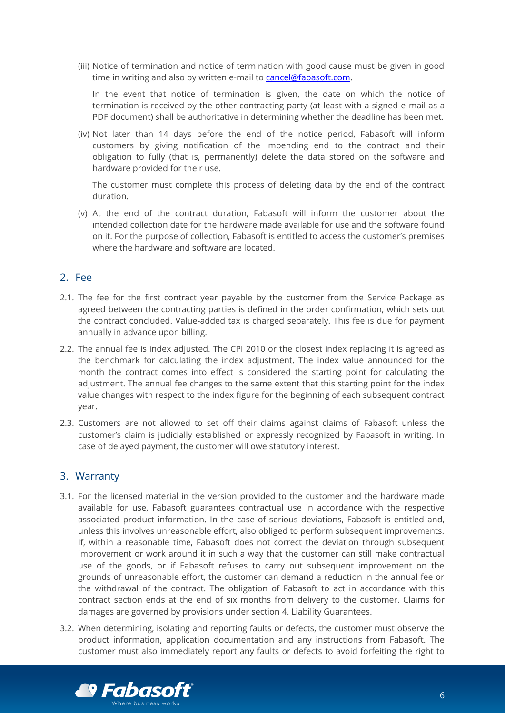(iii) Notice of termination and notice of termination with good cause must be given in good time in writing and also by written e-mail to [cancel@fabasoft.com.](mailto:cancel@fabasoft.com)

In the event that notice of termination is given, the date on which the notice of termination is received by the other contracting party (at least with a signed e-mail as a PDF document) shall be authoritative in determining whether the deadline has been met.

(iv) Not later than 14 days before the end of the notice period, Fabasoft will inform customers by giving notification of the impending end to the contract and their obligation to fully (that is, permanently) delete the data stored on the software and hardware provided for their use.

The customer must complete this process of deleting data by the end of the contract duration.

(v) At the end of the contract duration, Fabasoft will inform the customer about the intended collection date for the hardware made available for use and the software found on it. For the purpose of collection, Fabasoft is entitled to access the customer's premises where the hardware and software are located.

### 2. Fee

- 2.1. The fee for the first contract year payable by the customer from the Service Package as agreed between the contracting parties is defined in the order confirmation, which sets out the contract concluded. Value-added tax is charged separately. This fee is due for payment annually in advance upon billing.
- 2.2. The annual fee is index adjusted. The CPI 2010 or the closest index replacing it is agreed as the benchmark for calculating the index adjustment. The index value announced for the month the contract comes into effect is considered the starting point for calculating the adjustment. The annual fee changes to the same extent that this starting point for the index value changes with respect to the index figure for the beginning of each subsequent contract year.
- 2.3. Customers are not allowed to set off their claims against claims of Fabasoft unless the customer's claim is judicially established or expressly recognized by Fabasoft in writing. In case of delayed payment, the customer will owe statutory interest.

### 3. Warranty

- 3.1. For the licensed material in the version provided to the customer and the hardware made available for use, Fabasoft guarantees contractual use in accordance with the respective associated product information. In the case of serious deviations, Fabasoft is entitled and, unless this involves unreasonable effort, also obliged to perform subsequent improvements. If, within a reasonable time, Fabasoft does not correct the deviation through subsequent improvement or work around it in such a way that the customer can still make contractual use of the goods, or if Fabasoft refuses to carry out subsequent improvement on the grounds of unreasonable effort, the customer can demand a reduction in the annual fee or the withdrawal of the contract. The obligation of Fabasoft to act in accordance with this contract section ends at the end of six months from delivery to the customer. Claims for damages are governed by provisions under section [4. Liability Guarantees.](#page-6-0)
- 3.2. When determining, isolating and reporting faults or defects, the customer must observe the product information, application documentation and any instructions from Fabasoft. The customer must also immediately report any faults or defects to avoid forfeiting the right to

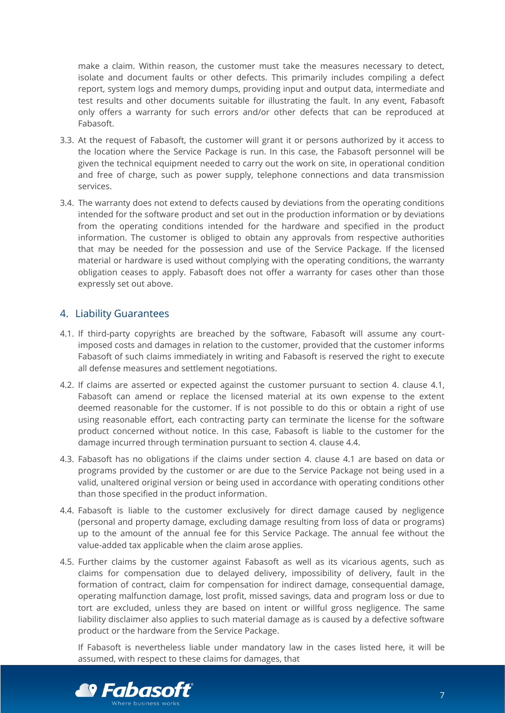make a claim. Within reason, the customer must take the measures necessary to detect, isolate and document faults or other defects. This primarily includes compiling a defect report, system logs and memory dumps, providing input and output data, intermediate and test results and other documents suitable for illustrating the fault. In any event, Fabasoft only offers a warranty for such errors and/or other defects that can be reproduced at Fabasoft.

- 3.3. At the request of Fabasoft, the customer will grant it or persons authorized by it access to the location where the Service Package is run. In this case, the Fabasoft personnel will be given the technical equipment needed to carry out the work on site, in operational condition and free of charge, such as power supply, telephone connections and data transmission services.
- 3.4. The warranty does not extend to defects caused by deviations from the operating conditions intended for the software product and set out in the production information or by deviations from the operating conditions intended for the hardware and specified in the product information. The customer is obliged to obtain any approvals from respective authorities that may be needed for the possession and use of the Service Package. If the licensed material or hardware is used without complying with the operating conditions, the warranty obligation ceases to apply. Fabasoft does not offer a warranty for cases other than those expressly set out above.

### <span id="page-6-0"></span>4. Liability Guarantees

- <span id="page-6-1"></span>4.1. If third-party copyrights are breached by the software, Fabasoft will assume any courtimposed costs and damages in relation to the customer, provided that the customer informs Fabasoft of such claims immediately in writing and Fabasoft is reserved the right to execute all defense measures and settlement negotiations.
- 4.2. If claims are asserted or expected against the customer pursuant to section [4.](#page-6-0) clause [4.1,](#page-6-1) Fabasoft can amend or replace the licensed material at its own expense to the extent deemed reasonable for the customer. If is not possible to do this or obtain a right of use using reasonable effort, each contracting party can terminate the license for the software product concerned without notice. In this case, Fabasoft is liable to the customer for the damage incurred through termination pursuant to section [4.](#page-6-0) clause [4.4.](#page-6-2)
- 4.3. Fabasoft has no obligations if the claims under section [4.](#page-6-0) clause [4.1](#page-6-1) are based on data or programs provided by the customer or are due to the Service Package not being used in a valid, unaltered original version or being used in accordance with operating conditions other than those specified in the product information.
- <span id="page-6-2"></span>4.4. Fabasoft is liable to the customer exclusively for direct damage caused by negligence (personal and property damage, excluding damage resulting from loss of data or programs) up to the amount of the annual fee for this Service Package. The annual fee without the value-added tax applicable when the claim arose applies.
- 4.5. Further claims by the customer against Fabasoft as well as its vicarious agents, such as claims for compensation due to delayed delivery, impossibility of delivery, fault in the formation of contract, claim for compensation for indirect damage, consequential damage, operating malfunction damage, lost profit, missed savings, data and program loss or due to tort are excluded, unless they are based on intent or willful gross negligence. The same liability disclaimer also applies to such material damage as is caused by a defective software product or the hardware from the Service Package.

If Fabasoft is nevertheless liable under mandatory law in the cases listed here, it will be assumed, with respect to these claims for damages, that

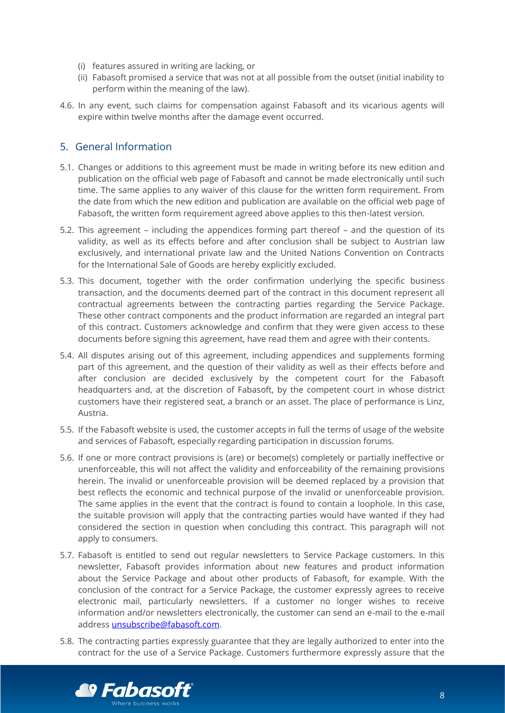- (i) features assured in writing are lacking, or
- (ii) Fabasoft promised a service that was not at all possible from the outset (initial inability to perform within the meaning of the law).
- 4.6. In any event, such claims for compensation against Fabasoft and its vicarious agents will expire within twelve months after the damage event occurred.

# 5. General Information

- 5.1. Changes or additions to this agreement must be made in writing before its new edition and publication on the official web page of Fabasoft and cannot be made electronically until such time. The same applies to any waiver of this clause for the written form requirement. From the date from which the new edition and publication are available on the official web page of Fabasoft, the written form requirement agreed above applies to this then-latest version.
- 5.2. This agreement including the appendices forming part thereof and the question of its validity, as well as its effects before and after conclusion shall be subject to Austrian law exclusively, and international private law and the United Nations Convention on Contracts for the International Sale of Goods are hereby explicitly excluded.
- 5.3. This document, together with the order confirmation underlying the specific business transaction, and the documents deemed part of the contract in this document represent all contractual agreements between the contracting parties regarding the Service Package. These other contract components and the product information are regarded an integral part of this contract. Customers acknowledge and confirm that they were given access to these documents before signing this agreement, have read them and agree with their contents.
- 5.4. All disputes arising out of this agreement, including appendices and supplements forming part of this agreement, and the question of their validity as well as their effects before and after conclusion are decided exclusively by the competent court for the Fabasoft headquarters and, at the discretion of Fabasoft, by the competent court in whose district customers have their registered seat, a branch or an asset. The place of performance is Linz, Austria.
- 5.5. If the Fabasoft website is used, the customer accepts in full the terms of usage of the website and services of Fabasoft, especially regarding participation in discussion forums.
- 5.6. If one or more contract provisions is (are) or become(s) completely or partially ineffective or unenforceable, this will not affect the validity and enforceability of the remaining provisions herein. The invalid or unenforceable provision will be deemed replaced by a provision that best reflects the economic and technical purpose of the invalid or unenforceable provision. The same applies in the event that the contract is found to contain a loophole. In this case, the suitable provision will apply that the contracting parties would have wanted if they had considered the section in question when concluding this contract. This paragraph will not apply to consumers.
- 5.7. Fabasoft is entitled to send out regular newsletters to Service Package customers. In this newsletter, Fabasoft provides information about new features and product information about the Service Package and about other products of Fabasoft, for example. With the conclusion of the contract for a Service Package, the customer expressly agrees to receive electronic mail, particularly newsletters. If a customer no longer wishes to receive information and/or newsletters electronically, the customer can send an e-mail to the e-mail address [unsubscribe@fabasoft.com.](mailto:unsubscribe@fabasoft.com)
- 5.8. The contracting parties expressly guarantee that they are legally authorized to enter into the contract for the use of a Service Package. Customers furthermore expressly assure that the